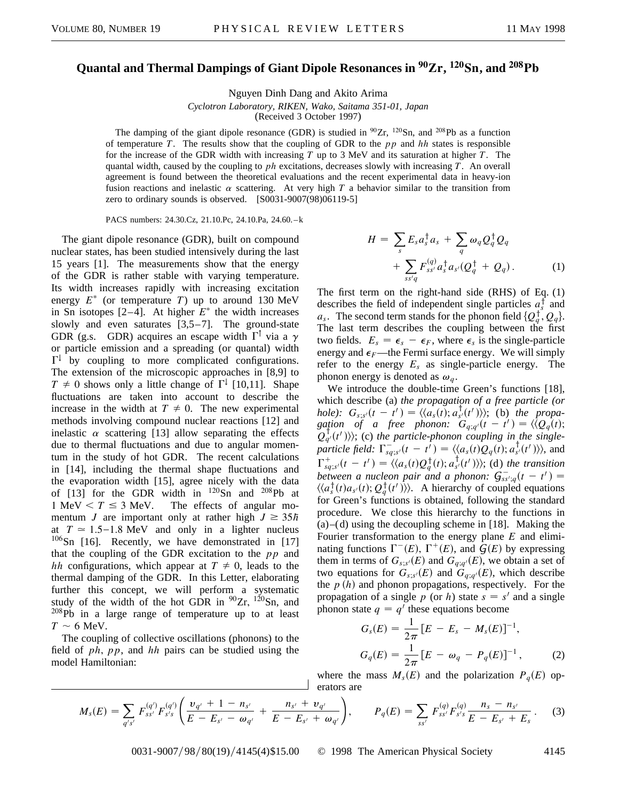## **Quantal and Thermal Dampings of Giant Dipole Resonances in 90Zr, 120Sn, and 208Pb**

Nguyen Dinh Dang and Akito Arima

*Cyclotron Laboratory, RIKEN, Wako, Saitama 351-01, Japan*

(Received 3 October 1997)

The damping of the giant dipole resonance (GDR) is studied in  ${}^{90}Zr$ ,  ${}^{120}Sn$ , and  ${}^{208}Pb$  as a function of temperature *T*. The results show that the coupling of GDR to the *pp* and *hh* states is responsible for the increase of the GDR width with increasing *T* up to 3 MeV and its saturation at higher *T*. The quantal width, caused by the coupling to *ph* excitations, decreases slowly with increasing *T*. An overall agreement is found between the theoretical evaluations and the recent experimental data in heavy-ion fusion reactions and inelastic  $\alpha$  scattering. At very high  $T$  a behavior similar to the transition from zero to ordinary sounds is observed. [S0031-9007(98)06119-5]

PACS numbers: 24.30.Cz, 21.10.Pc, 24.10.Pa, 24.60. – k

The giant dipole resonance (GDR), built on compound nuclear states, has been studied intensively during the last 15 years [1]. The measurements show that the energy of the GDR is rather stable with varying temperature. Its width increases rapidly with increasing excitation energy  $E^*$  (or temperature *T*) up to around 130 MeV in Sn isotopes  $[2-4]$ . At higher  $E^*$  the width increases slowly and even saturates [3,5–7]. The ground-state GDR (g.s. GDR) acquires an escape width  $\Gamma^{\uparrow}$  via a  $\gamma$ or particle emission and a spreading (or quantal) width  $\Gamma^{\downarrow}$  by coupling to more complicated configurations. The extension of the microscopic approaches in [8,9] to  $T \neq 0$  shows only a little change of  $\Gamma^{\downarrow}$  [10,11]. Shape fluctuations are taken into account to describe the increase in the width at  $T \neq 0$ . The new experimental methods involving compound nuclear reactions [12] and inelastic  $\alpha$  scattering [13] allow separating the effects due to thermal fluctuations and due to angular momentum in the study of hot GDR. The recent calculations in [14], including the thermal shape fluctuations and the evaporation width [15], agree nicely with the data of [13] for the GDR width in  $^{120}Sn$  and  $^{208}Pb$  at 1 MeV  $\lt T \leq 3$  MeV. The effects of angular momentum *J* are important only at rather high  $J \geq 35h$ at  $T \approx 1.5 - 1.8$  MeV and only in a lighter nucleus  $106$ Sn [16]. Recently, we have demonstrated in [17] that the coupling of the GDR excitation to the *pp* and *hh* configurations, which appear at  $T \neq 0$ , leads to the thermal damping of the GDR. In this Letter, elaborating further this concept, we will perform a systematic study of the width of the hot GDR in  $90Zr$ ,  $120Sn$ , and  $208Pb$  in a large range of temperature up to at least  $T \sim 6$  MeV.

The coupling of collective oscillations (phonons) to the field of *ph*, *pp*, and *hh* pairs can be studied using the model Hamiltonian:

$$
H = \sum_{s} E_s a_s^{\dagger} a_s + \sum_{q} \omega_q Q_q^{\dagger} Q_q
$$
  
+ 
$$
\sum_{ss'q} F_{ss'}^{(q)} a_s^{\dagger} a_{s'} (Q_q^{\dagger} + Q_q).
$$
 (1)

The first term on the right-hand side (RHS) of Eq. (1) describes the field of independent single particles  $a_s^{\dagger}$  and *a<sub>s</sub>*. The second term stands for the phonon field  $\{Q_q^{\dagger}, Q_q\}$ . The last term describes the coupling between the first two fields.  $E_s = \epsilon_s - \epsilon_F$ , where  $\epsilon_s$  is the single-particle energy and  $\epsilon_F$ —the Fermi surface energy. We will simply refer to the energy *Es* as single-particle energy. The phonon energy is denoted as  $\omega_q$ .

We introduce the double-time Green's functions [18], which describe (a) *the propagation of a free particle (or hole):*  $G_{s,s'}(t-t') = \langle \langle a_s(t); a_{s'}^{\dagger}(t') \rangle \rangle$ ; (b) the propa*gation of a free phonon:*  $G_{q;q}(t-t') = \langle \overline{\langle Q_q(t) \rangle} \rangle$  $Q_{q'}^{\dagger}(t')$ ); (c) the particle-phonon coupling in the single*particle field:*  $\Gamma_{sg,s'}^{-1}(t - t') = \langle \langle a_s(t)Q_q(t) ; a_{s'}^{\dagger}(t') \rangle \rangle$ , and  $\Gamma^+_{sq;s'}(t-t') = \langle \langle a_s(t)Q_q^{\dagger}(t); a_{s'}^{\dagger}(t') \rangle \rangle$ ; (d) the transition between a nucleon pair and a phonon:  $G_{ss';q}^{\dagger}(t - t') =$  $\langle \langle a_s^{\dagger}(t) a_{s'}(t); Q_q^{\dagger}(t') \rangle \rangle$ . A hierarchy of coupled equations for Green's functions is obtained, following the standard procedure. We close this hierarchy to the functions in  $(a)$ –(d) using the decoupling scheme in [18]. Making the Fourier transformation to the energy plane *E* and eliminating functions  $\Gamma^-(E)$ ,  $\Gamma^+(E)$ , and  $\mathcal{G}(E)$  by expressing them in terms of  $G_{s;s'}(E)$  and  $G_{q;q'}(E)$ , we obtain a set of two equations for  $G_{s;s}(E)$  and  $G_{q;q}(E)$ , which describe the  $p(h)$  and phonon propagations, respectively. For the propagation of a single p (or h) state  $s = s'$  and a single phonon state  $q = q'$  these equations become

$$
G_s(E) = \frac{1}{2\pi} [E - E_s - M_s(E)]^{-1},
$$
  
\n
$$
G_q(E) = \frac{1}{2\pi} [E - \omega_q - P_q(E)]^{-1},
$$
\n(2)

where the mass  $M_s(E)$  and the polarization  $P_q(E)$  operators are

$$
M_{s}(E) = \sum_{q's'} F_{ss'}^{(q')} F_{s's}^{(q')} \left( \frac{\nu_{q'} + 1 - n_{s'}}{E - E_{s'} - \omega_{q'}} + \frac{n_{s'} + \nu_{q'}}{E - E_{s'} + \omega_{q'}} \right), \qquad P_{q}(E) = \sum_{ss'} F_{ss'}^{(q)} F_{s's}^{(q)} \frac{n_{s} - n_{s'}}{E - E_{s'} + E_{s}}.
$$
 (3)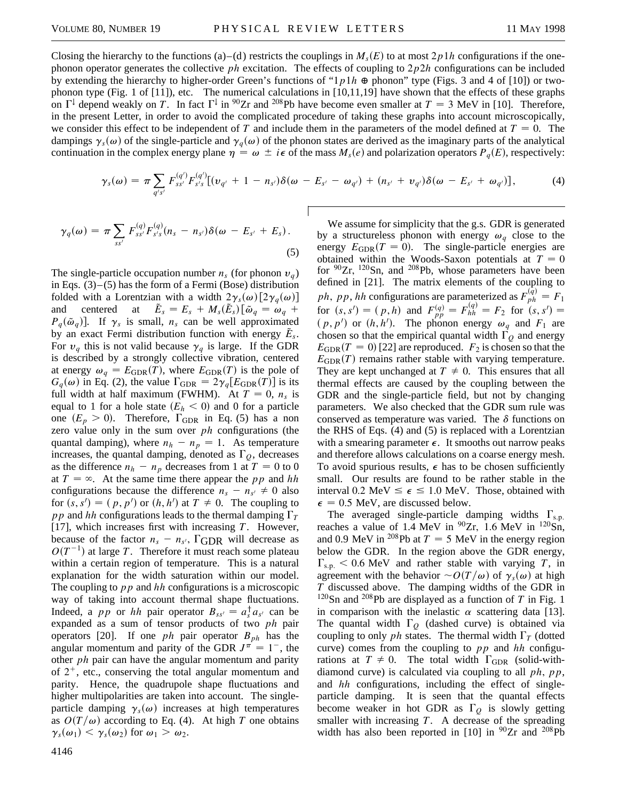Closing the hierarchy to the functions (a)–(d) restricts the couplings in  $M_s(E)$  to at most  $2p1h$  configurations if the onephonon operator generates the collective *ph* excitation. The effects of coupling to 2*p*2*h* configurations can be included by extending the hierarchy to higher-order Green's functions of " $1p1h \oplus$  phonon" type (Figs. 3 and 4 of [10]) or twophonon type (Fig. 1 of  $[11]$ ), etc. The numerical calculations in  $[10,11,19]$  have shown that the effects of these graphs on  $\Gamma^{\downarrow}$  depend weakly on *T*. In fact  $\Gamma^{\downarrow}$  in <sup>90</sup>Zr and <sup>208</sup>Pb have become even smaller at  $T = 3$  MeV in [10]. Therefore, in the present Letter, in order to avoid the complicated procedure of taking these graphs into account microscopically, we consider this effect to be independent of *T* and include them in the parameters of the model defined at  $T = 0$ . The dampings  $\gamma_s(\omega)$  of the single-particle and  $\gamma_q(\omega)$  of the phonon states are derived as the imaginary parts of the analytical continuation in the complex energy plane  $\eta = \omega \pm i\epsilon$  of the mass  $M_s(e)$  and polarization operators  $P_q(E)$ , respectively:

$$
\gamma_{s}(\omega) = \pi \sum_{q's'} F_{ss'}^{(q')} F_{s's}^{(q')} [(v_{q'} + 1 - n_{s'})\delta(\omega - E_{s'} - \omega_{q'}) + (n_{s'} + v_{q'})\delta(\omega - E_{s'} + \omega_{q'})], \qquad (4)
$$

$$
\gamma_q(\omega) = \pi \sum_{ss'} F_{ss'}^{(q)} F_{s's}^{(q)}(n_s - n_{s'}) \delta(\omega - E_{s'} + E_s).
$$
\n(5)

The single-particle occupation number  $n_s$  (for phonon  $v_a$ ) in Eqs.  $(3)$ – $(5)$  has the form of a Fermi (Bose) distribution folded with a Lorentzian with a width  $2\gamma_s(\omega)$  [2 $\gamma_q(\omega)$ ] and centered at  $\tilde{E}_s = E_s + M_s(\tilde{E}_s) [\tilde{\omega}_q = \omega_q + \tilde{\omega}_q$  $P_q(\tilde{\omega}_q)$ . If  $\gamma_s$  is small,  $n_s$  can be well approximated by an exact Fermi distribution function with energy  $\tilde{E}_s$ . For  $v_q$  this is not valid because  $\gamma_q$  is large. If the GDR is described by a strongly collective vibration, centered at energy  $\omega_q = E_{GDR}(T)$ , where  $E_{GDR}(T)$  is the pole of  $G_q(\omega)$  in Eq. (2), the value  $\Gamma_{\text{GDR}} = 2\gamma_q[E_{\text{GDR}}(T)]$  is its full width at half maximum (FWHM). At  $T = 0$ ,  $n_s$  is equal to 1 for a hole state  $(E_h < 0)$  and 0 for a particle one  $(E_p > 0)$ . Therefore,  $\Gamma_{\text{GDR}}$  in Eq. (5) has a non zero value only in the sum over *ph* configurations (the quantal damping), where  $n_h - n_p = 1$ . As temperature increases, the quantal damping, denoted as  $\Gamma_Q$ , decreases as the difference  $n_h - n_p$  decreases from 1 at  $T = 0$  to 0 at  $T = \infty$ . At the same time there appear the *pp* and *hh* configurations because the difference  $n_s - n_{s'} \neq 0$  also for  $(s, s') = (p, p')$  or  $(h, h')$  at  $T \neq 0$ . The coupling to *pp* and *hh* configurations leads to the thermal damping  $\Gamma_T$ [17], which increases first with increasing *T*. However, because of the factor  $n_s - n_{s}$ ,  $\Gamma$ GDR will decrease as  $O(T^{-1})$  at large *T*. Therefore it must reach some plateau within a certain region of temperature. This is a natural explanation for the width saturation within our model. The coupling to *pp* and *hh* configurations is a microscopic way of taking into account thermal shape fluctuations. Indeed, a *pp* or *hh* pair operator  $B_{ss'} = a_s^{\dagger} a_{s'}$  can be expanded as a sum of tensor products of two *ph* pair operators [20]. If one *ph* pair operator  $B_{ph}$  has the angular momentum and parity of the GDR  $J^{\pi} = 1^{-}$ , the other *ph* pair can have the angular momentum and parity of  $2^+$ , etc., conserving the total angular momentum and parity. Hence, the quadrupole shape fluctuations and higher multipolarities are taken into account. The singleparticle damping  $\gamma_s(\omega)$  increases at high temperatures as  $O(T/\omega)$  according to Eq. (4). At high *T* one obtains  $\gamma_s(\omega_1) < \gamma_s(\omega_2)$  for  $\omega_1 > \omega_2$ .

We assume for simplicity that the g.s. GDR is generated by a structureless phonon with energy  $\omega_q$  close to the energy  $E_{GDR}(T = 0)$ . The single-particle energies are obtained within the Woods-Saxon potentials at  $T = 0$ for  $90Zr$ ,  $120Sn$ , and  $208Pb$ , whose parameters have been defined in [21]. The matrix elements of the coupling to *ph*, *pp*, *hh* configurations are parameterized as  $F_{ph}^{(q)} = F_1$ for  $(s, s') = (p, h)$  and  $F_{pp}^{(q)} = F_{hh}^{(q)} = F_2$  for  $(s, s') =$  $(p, p')$  or  $(h, h')$ . The phonon energy  $\omega_q$  and  $F_1$  are chosen so that the empirical quantal width  $\Gamma_{Q}$  and energy  $E_{\text{GDR}}(T=0)$  [22] are reproduced.  $F_2$  is chosen so that the  $E_{\text{GDR}}(T)$  remains rather stable with varying temperature. They are kept unchanged at  $T \neq 0$ . This ensures that all thermal effects are caused by the coupling between the GDR and the single-particle field, but not by changing parameters. We also checked that the GDR sum rule was conserved as temperature was varied. The  $\delta$  functions on the RHS of Eqs. (4) and (5) is replaced with a Lorentzian with a smearing parameter  $\epsilon$ . It smooths out narrow peaks and therefore allows calculations on a coarse energy mesh. To avoid spurious results,  $\epsilon$  has to be chosen sufficiently small. Our results are found to be rather stable in the interval 0.2 MeV  $\leq \epsilon \leq 1.0$  MeV. Those, obtained with  $\epsilon$  = 0.5 MeV, are discussed below.

The averaged single-particle damping widths  $\Gamma_{s.p.}$ reaches a value of 1.4 MeV in  $^{90}Zr$ , 1.6 MeV in  $^{120}Sn$ , and 0.9 MeV in <sup>208</sup>Pb at  $T = 5$  MeV in the energy region below the GDR. In the region above the GDR energy,  $\Gamma_{\rm s.p.}$  < 0.6 MeV and rather stable with varying *T*, in agreement with the behavior  $\sim O(T/\omega)$  of  $\gamma_s(\omega)$  at high *T* discussed above. The damping widths of the GDR in  $120$ Sn and  $208$ Pb are displayed as a function of *T* in Fig. 1 in comparison with the inelastic  $\alpha$  scattering data [13]. The quantal width  $\Gamma_Q$  (dashed curve) is obtained via coupling to only *ph* states. The thermal width  $\Gamma_T$  (dotted curve) comes from the coupling to *pp* and *hh* configurations at  $T \neq 0$ . The total width  $\Gamma_{\text{GDR}}$  (solid-withdiamond curve) is calculated via coupling to all *ph*, *pp*, and *hh* configurations, including the effect of singleparticle damping. It is seen that the quantal effects become weaker in hot GDR as  $\Gamma$ <sup>o</sup> is slowly getting smaller with increasing *T*. A decrease of the spreading width has also been reported in [10] in  $^{90}Zr$  and  $^{208}Pb$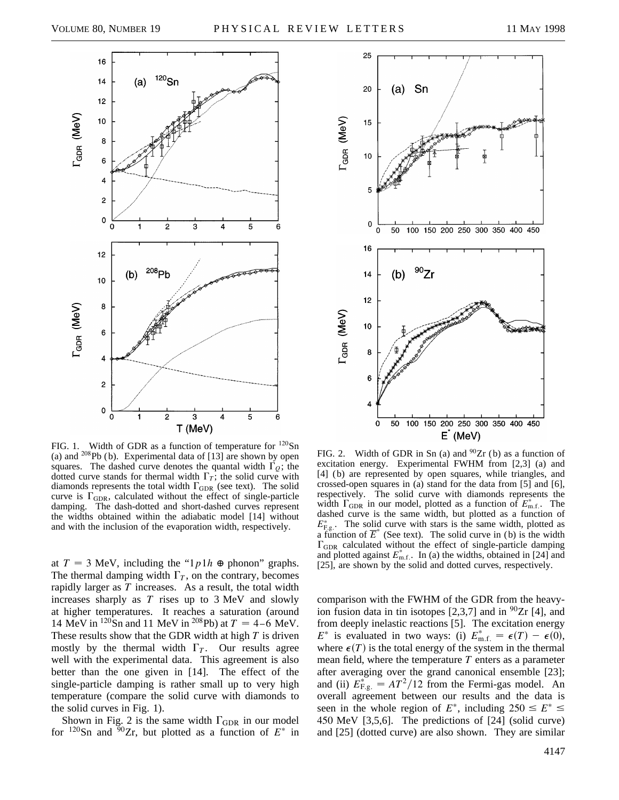

FIG. 1. Width of GDR as a function of temperature for  $^{120}Sn$ (a) and  $^{208}Pb$  (b). Experimental data of [13] are shown by open squares. The dashed curve denotes the quantal width  $\Gamma_0$ ; the dotted curve stands for thermal width  $\Gamma_T$ ; the solid curve with diamonds represents the total width  $\Gamma_{\text{GDR}}$  (see text). The solid curve is  $\Gamma_{\text{GDR}}$ , calculated without the effect of single-particle damping. The dash-dotted and short-dashed curves represent the widths obtained within the adiabatic model [14] without and with the inclusion of the evaporation width, respectively.

at  $T = 3$  MeV, including the " $1p1h \oplus \text{phonon}$ " graphs. The thermal damping width  $\Gamma_T$ , on the contrary, becomes rapidly larger as *T* increases. As a result, the total width increases sharply as *T* rises up to 3 MeV and slowly at higher temperatures. It reaches a saturation (around 14 MeV in <sup>120</sup>Sn and 11 MeV in <sup>208</sup>Pb) at  $T = 4-6$  MeV. These results show that the GDR width at high *T* is driven mostly by the thermal width  $\Gamma_T$ . Our results agree well with the experimental data. This agreement is also better than the one given in [14]. The effect of the single-particle damping is rather small up to very high temperature (compare the solid curve with diamonds to the solid curves in Fig. 1).

Shown in Fig. 2 is the same width  $\Gamma_{\text{GDR}}$  in our model for  $120$ Sn and  $90$ Zr, but plotted as a function of  $E^*$  in



FIG. 2. Width of GDR in Sn (a) and  $^{90}Zr$  (b) as a function of excitation energy. Experimental FWHM from [2,3] (a) and [4] (b) are represented by open squares, while triangles, and crossed-open squares in (a) stand for the data from [5] and [6], respectively. The solid curve with diamonds represents the width  $\Gamma_{\text{GDR}}$  in our model, plotted as a function of  $E_{\text{m.f.}}^*$ . The dashed curve is the same width, but plotted as a function of  $E_{\text{F.g.}}^*$ . The solid curve with stars is the same width, plotted as a function of  $\overline{E}^*$  (See text). The solid curve in (b) is the width  $\Gamma_{\text{GDR}}$  calculated without the effect of single-particle damping and plotted against  $E_{\text{m.f.}}^*$ . In (a) the widths, obtained in [24] and [25], are shown by the solid and dotted curves, respectively.

comparison with the FWHM of the GDR from the heavyion fusion data in tin isotopes  $[2,3,7]$  and in  $\frac{90}{2}$ r [4], and from deeply inelastic reactions [5]. The excitation energy *E*<sup>\*</sup> is evaluated in two ways: (i)  $E_{\text{m.f.}}^{*} = \epsilon(T) - \epsilon(0)$ , where  $\epsilon(T)$  is the total energy of the system in the thermal mean field, where the temperature *T* enters as a parameter after averaging over the grand canonical ensemble [23]; and (ii)  $E_{\text{F.g.}}^* = AT^2/12$  from the Fermi-gas model. An overall agreement between our results and the data is seen in the whole region of  $E^*$ , including  $250 \le E^* \le$ 450 MeV [3,5,6]. The predictions of [24] (solid curve) and [25] (dotted curve) are also shown. They are similar